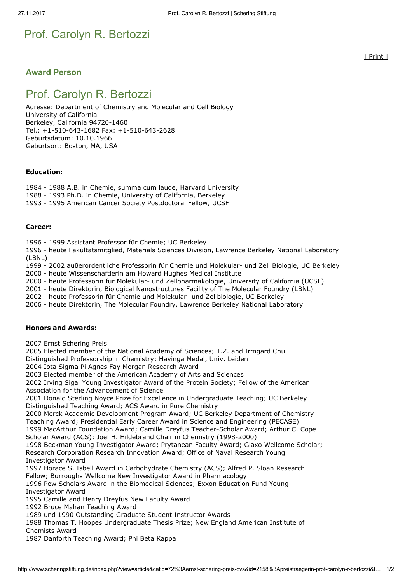# Prof. Carolyn R. Bertozzi

## Award Person

## Prof. Carolyn R. Bertozzi

Adresse: Department of Chemistry and Molecular and Cell Biology University of California Berkeley, California 94720-1460 Tel.: +1-510-643-1682 Fax: +1-510-643-2628 Geburtsdatum: 10.10.1966 Geburtsort: Boston, MA, USA

#### Education:

- 1984 1988 A.B. in Chemie, summa cum laude, Harvard University
- 1988 1993 Ph.D. in Chemie, University of California, Berkeley
- 1993 1995 American Cancer Society Postdoctoral Fellow, UCSF

#### Career:

- 1996 1999 Assistant Professor für Chemie; UC Berkeley
- 1996 heute Fakultätsmitglied, Materials Sciences Division, Lawrence Berkeley National Laboratory (LBNL)
- 1999 2002 außerordentliche Professorin für Chemie und Molekular- und Zell Biologie, UC Berkeley
- 2000 heute Wissenschaftlerin am Howard Hughes Medical Institute
- 2000 heute Professorin für Molekular- und Zellpharmakologie, University of California (UCSF)
- 2001 heute Direktorin, Biological Nanostructures Facility of The Molecular Foundry (LBNL)
- 2002 heute Professorin für Chemie und Molekular- und Zellbiologie, UC Berkeley
- 2006 heute Direktorin, The Molecular Foundry, Lawrence Berkeley National Laboratory

#### Honors and Awards:

2007 Ernst Schering Preis

2005 Elected member of the National Academy of Sciences; T.Z. and Irmgard Chu

Distinguished Professorship in Chemistry; Havinga Medal, Univ. Leiden

2004 Iota Sigma Pi Agnes Fay Morgan Research Award

2003 Elected member of the American Academy of Arts and Sciences

2002 Irving Sigal Young Investigator Award of the Protein Society; Fellow of the American Association for the Advancement of Science

2001 Donald Sterling Noyce Prize for Excellence in Undergraduate Teaching; UC Berkeley Distinguished Teaching Award; ACS Award in Pure Chemistry

2000 Merck Academic Development Program Award; UC Berkeley Department of Chemistry Teaching Award; Presidential Early Career Award in Science and Engineering (PECASE)

1999 MacArthur Foundation Award; Camille Dreyfus Teacher-Scholar Award; Arthur C. Cope Scholar Award (ACS); Joel H. Hildebrand Chair in Chemistry (1998-2000)

1998 Beckman Young Investigator Award; Prytanean Faculty Award; Glaxo Wellcome Scholar; Research Corporation Research Innovation Award; Office of Naval Research Young Investigator Award

1997 Horace S. Isbell Award in Carbohydrate Chemistry (ACS); Alfred P. Sloan Research Fellow; Burroughs Wellcome New Investigator Award in Pharmacology

1996 Pew Scholars Award in the Biomedical Sciences; Exxon Education Fund Young Investigator Award

1995 Camille and Henry Dreyfus New Faculty Award

1992 Bruce Mahan Teaching Award

1989 und 1990 Outstanding Graduate Student Instructor Awards

1988 Thomas T. Hoopes Undergraduate Thesis Prize; New England American Institute of Chemists Award

1987 Danforth Teaching Award; Phi Beta Kappa

| Print |